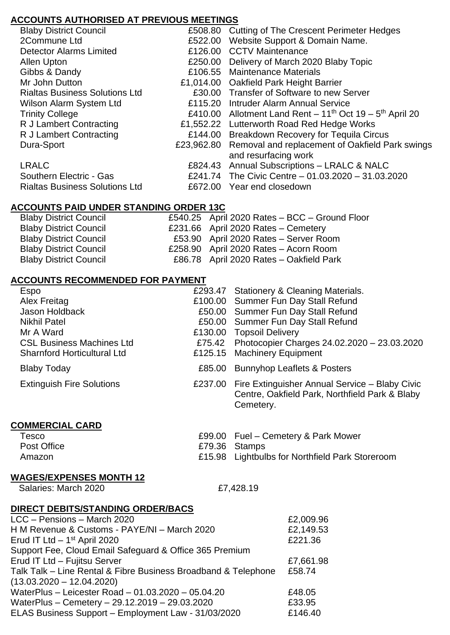## **ACCOUNTS AUTHORISED AT PREVIOUS MEETINGS**

| <b>Blaby District Council</b>         | £508.80 | <b>Cutting of The Crescent Perimeter Hedges</b>                                    |
|---------------------------------------|---------|------------------------------------------------------------------------------------|
| 2Commune Ltd                          | £522.00 | Website Support & Domain Name.                                                     |
| <b>Detector Alarms Limited</b>        |         | £126.00 CCTV Maintenance                                                           |
| Allen Upton                           | £250.00 | Delivery of March 2020 Blaby Topic                                                 |
| Gibbs & Dandy                         | £106.55 | <b>Maintenance Materials</b>                                                       |
| Mr John Dutton                        |         | £1,014.00 Oakfield Park Height Barrier                                             |
| <b>Rialtas Business Solutions Ltd</b> |         | £30.00 Transfer of Software to new Server                                          |
| <b>Wilson Alarm System Ltd</b>        |         | £115.20 Intruder Alarm Annual Service                                              |
| <b>Trinity College</b>                |         | £410.00 Allotment Land Rent $-11^{th}$ Oct 19 $-5^{th}$ April 20                   |
| R J Lambert Contracting               |         | £1,552.22 Lutterworth Road Red Hedge Works                                         |
| R J Lambert Contracting               | £144.00 | <b>Breakdown Recovery for Tequila Circus</b>                                       |
| Dura-Sport                            |         | £23,962.80 Removal and replacement of Oakfield Park swings<br>and resurfacing work |
| <b>LRALC</b>                          |         | £824.43 Annual Subscriptions - LRALC & NALC                                        |
| Southern Electric - Gas               |         | £241.74 The Civic Centre - 01.03.2020 - 31.03.2020                                 |
| <b>Rialtas Business Solutions Ltd</b> | £672.00 | Year end closedown                                                                 |
|                                       |         |                                                                                    |

## **ACCOUNTS PAID UNDER STANDING ORDER 13C**

| <b>Blaby District Council</b> | £540.25 April 2020 Rates - BCC - Ground Floor |
|-------------------------------|-----------------------------------------------|
| <b>Blaby District Council</b> | £231.66 April 2020 Rates - Cemetery           |
| <b>Blaby District Council</b> | £53.90 April 2020 Rates - Server Room         |
| <b>Blaby District Council</b> | £258.90 April 2020 Rates - Acorn Room         |
| <b>Blaby District Council</b> | £86.78 April 2020 Rates - Oakfield Park       |
|                               |                                               |

#### **ACCOUNTS RECOMMENDED FOR PAYMENT**

| Espo                               | £293.47 Stationery & Cleaning Materials.                                                                              |
|------------------------------------|-----------------------------------------------------------------------------------------------------------------------|
| Alex Freitag                       | £100.00 Summer Fun Day Stall Refund                                                                                   |
| Jason Holdback                     | £50.00 Summer Fun Day Stall Refund                                                                                    |
| <b>Nikhil Patel</b>                | £50.00 Summer Fun Day Stall Refund                                                                                    |
| Mr A Ward                          | £130.00 Topsoil Delivery                                                                                              |
| <b>CSL Business Machines Ltd</b>   | £75.42 Photocopier Charges 24.02.2020 - 23.03.2020                                                                    |
| <b>Sharnford Horticultural Ltd</b> | £125.15 Machinery Equipment                                                                                           |
| <b>Blaby Today</b>                 | £85.00 Bunnyhop Leaflets & Posters                                                                                    |
| <b>Extinguish Fire Solutions</b>   | £237.00 Fire Extinguisher Annual Service - Blaby Civic<br>Centre, Oakfield Park, Northfield Park & Blaby<br>Cemetery. |

# **COMMERCIAL CARD**

| Tesco       | £99.00 Fuel – Cemetery & Park Mower             |
|-------------|-------------------------------------------------|
| Post Office | £79.36 Stamps                                   |
| Amazon      | £15.98 Lightbulbs for Northfield Park Storeroom |

## **WAGES/EXPENSES MONTH 12**

Salaries: March 2020 **ET, 428.19** 

## **DIRECT DEBITS/STANDING ORDER/BACS**

| LCC - Pensions - March 2020                                    | £2,009.96 |
|----------------------------------------------------------------|-----------|
| H M Revenue & Customs - PAYE/NI - March 2020                   | £2,149.53 |
| Erud IT Ltd $-1st$ April 2020                                  | £221.36   |
| Support Fee, Cloud Email Safeguard & Office 365 Premium        |           |
| Erud IT Ltd - Fujitsu Server                                   | £7,661.98 |
| Talk Talk - Line Rental & Fibre Business Broadband & Telephone | £58.74    |
| $(13.03.2020 - 12.04.2020)$                                    |           |
| WaterPlus - Leicester Road - 01.03.2020 - 05.04.20             | £48.05    |
| WaterPlus - Cemetery - 29.12.2019 - 29.03.2020                 | £33.95    |
| ELAS Business Support - Employment Law - 31/03/2020            | £146.40   |
|                                                                |           |